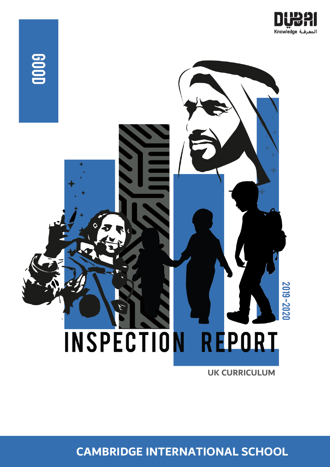



**UK CURRICULUM**

**CAMBRIDGE INTERNATIONAL SCHOOL**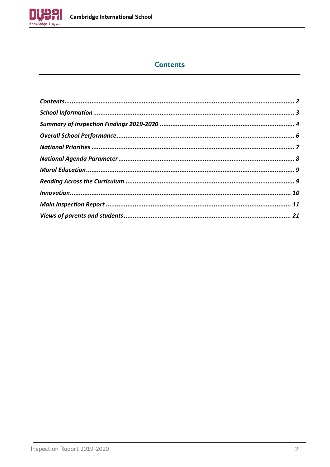

# **Contents**

<span id="page-1-0"></span>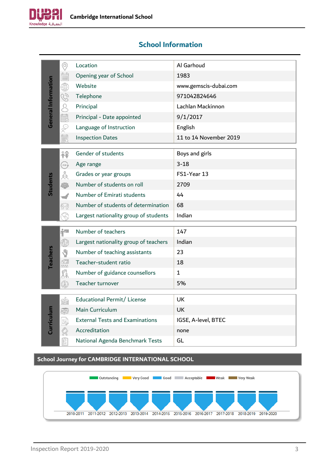

# <span id="page-2-0"></span>**School Information**

|                     | $\circledcirc$                                                                                          | Location                                          | Al Garhoud             |
|---------------------|---------------------------------------------------------------------------------------------------------|---------------------------------------------------|------------------------|
|                     | Ē                                                                                                       | Opening year of School                            | 1983                   |
|                     | ₩                                                                                                       | Website                                           | www.gemscis-dubai.com  |
|                     | G)                                                                                                      | Telephone                                         | 971042824646           |
|                     | $\alpha$                                                                                                | Principal                                         | Lachlan Mackinnon      |
| General Information | <b>IIII</b>                                                                                             | Principal - Date appointed                        | 9/1/2017               |
|                     | S                                                                                                       | Language of Instruction                           | English                |
|                     | 勖                                                                                                       | <b>Inspection Dates</b>                           | 11 to 14 November 2019 |
|                     |                                                                                                         |                                                   |                        |
|                     | 稌                                                                                                       | Gender of students                                | Boys and girls         |
|                     | AGE                                                                                                     | Age range                                         | $3 - 18$               |
|                     | jo<br>C                                                                                                 | Grades or year groups                             | FS1-Year 13            |
| <b>Students</b>     | 卷                                                                                                       | Number of students on roll                        | 2709                   |
|                     |                                                                                                         | Number of Emirati students                        | 44                     |
|                     | §V}                                                                                                     | Number of students of determination               | 68                     |
|                     |                                                                                                         | Largest nationality group of students             | Indian                 |
|                     | Ĥ″                                                                                                      | Number of teachers                                | 147                    |
|                     | $\bigcirc$                                                                                              | Largest nationality group of teachers             | Indian                 |
|                     | Y                                                                                                       | Number of teaching assistants                     | 23                     |
| <b>Teachers</b>     | 6 <sup>18</sup> 년<br>2월                                                                                 | Teacher-student ratio                             | 18                     |
|                     | Fa<br>20                                                                                                | Number of guidance counsellors                    | $\mathbf{1}$           |
|                     | 6)                                                                                                      | Teacher turnover                                  | 5%                     |
|                     |                                                                                                         |                                                   |                        |
|                     | <b>frida</b>                                                                                            | Educational Permit/ License                       | UK                     |
|                     |                                                                                                         | Main Curriculum                                   | <b>UK</b>              |
| Curriculum          | Æ                                                                                                       | <b>External Tests and Examinations</b>            | IGSE, A-level, BTEC    |
|                     |                                                                                                         | Accreditation                                     | none                   |
|                     | $\begin{bmatrix} \overline{\mathbf{g}} \\ \overline{\mathbf{g}} \\ \overline{\mathbf{u}} \end{bmatrix}$ | National Agenda Benchmark Tests                   | GL                     |
|                     |                                                                                                         |                                                   |                        |
|                     |                                                                                                         | School Journey for CAMBRIDGE INTERNATIONAL SCHOOL |                        |

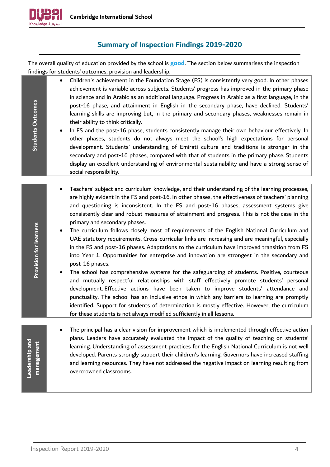

# **Summary of Inspection Findings 2019-2020**

<span id="page-3-0"></span>The overall quality of education provided by the school is **good**. The section below summarises the inspection findings for students' outcomes, provision and leadership.

> • Children's achievement in the Foundation Stage (FS) is consistently very good. In other phases achievement is variable across subjects. Students' progress has improved in the primary phase in science and in Arabic as an additional language. Progress in Arabic as a first language, in the post-16 phase, and attainment in English in the secondary phase, have declined. Students' learning skills are improving but, in the primary and secondary phases, weaknesses remain in their ability to think critically.

> • In FS and the post-16 phase, students consistently manage their own behaviour effectively. In other phases, students do not always meet the school's high expectations for personal development. Students' understanding of Emirati culture and traditions is stronger in the secondary and post-16 phases, compared with that of students in the primary phase. Students display an excellent understanding of environmental sustainability and have a strong sense of social responsibility.

- Teachers' subject and curriculum knowledge, and their understanding of the learning processes, are highly evident in the FS and post-16. In other phases, the effectiveness of teachers' planning and questioning is inconsistent. In the FS and post-16 phases, assessment systems give consistently clear and robust measures of attainment and progress. This is not the case in the primary and secondary phases.
- The curriculum follows closely most of requirements of the English National Curriculum and UAE statutory requirements. Cross-curricular links are increasing and are meaningful, especially in the FS and post-16 phases. Adaptations to the curriculum have improved transition from FS into Year 1. Opportunities for enterprise and innovation are strongest in the secondary and post-16 phases.
- The school has comprehensive systems for the safeguarding of students. Positive, courteous and mutually respectful relationships with staff effectively promote students' personal development. Effective actions have been taken to improve students' attendance and punctuality. The school has an inclusive ethos in which any barriers to learning are promptly identified. Support for students of determination is mostly effective. However, the curriculum for these students is not always modified sufficiently in all lessons.

• The principal has a clear vision for improvement which is implemented through effective action plans. Leaders have accurately evaluated the impact of the quality of teaching on students' **management** management learning. Understanding of assessment practices for the English National Curriculum is not well developed. Parents strongly support their children's learning. Governors have increased staffing and learning resources. They have not addressed the negative impact on learning resulting from overcrowded classrooms.

**Provision for learners**

**Provision for learners** 

**Leadership and** 

Leadership and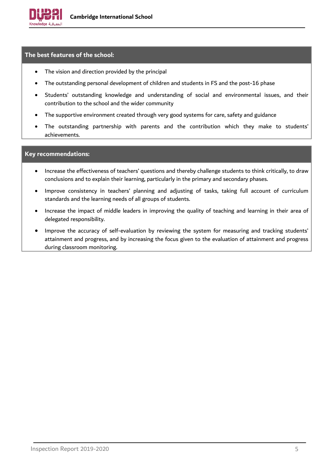

# **The best features of the school:**

- The vision and direction provided by the principal
- The outstanding personal development of children and students in FS and the post-16 phase
- Students' outstanding knowledge and understanding of social and environmental issues, and their contribution to the school and the wider community
- The supportive environment created through very good systems for care, safety and guidance
- The outstanding partnership with parents and the contribution which they make to students' achievements.

#### **Key recommendations:**

- Increase the effectiveness of teachers' questions and thereby challenge students to think critically, to draw conclusions and to explain their learning, particularly in the primary and secondary phases.
- Improve consistency in teachers' planning and adjusting of tasks, taking full account of curriculum standards and the learning needs of all groups of students.
- Increase the impact of middle leaders in improving the quality of teaching and learning in their area of delegated responsibility.
- Improve the accuracy of self-evaluation by reviewing the system for measuring and tracking students' attainment and progress, and by increasing the focus given to the evaluation of attainment and progress during classroom monitoring.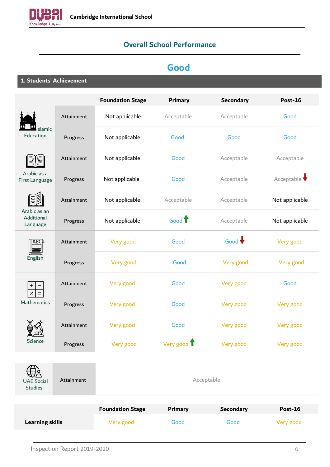<span id="page-5-0"></span>

# **Overall School Performance**

# **Good**

**1. Students' Achievement**

|                                        |            | <b>Foundation Stage</b> | <b>Primary</b>    | <b>Secondary</b> | <b>Post-16</b> |
|----------------------------------------|------------|-------------------------|-------------------|------------------|----------------|
|                                        | Attainment | Not applicable          | Acceptable        | Acceptable       | Good           |
| Islamic<br>Education                   | Progress   | Not applicable          | Good              | Good             | Good           |
|                                        | Attainment | Not applicable          | Good              | Acceptable       | Acceptable     |
| Arabic as a<br>First Language          | Progress   | Not applicable          | Good              | Acceptable       | Acceptable     |
|                                        | Attainment | Not applicable          | Acceptable        | Acceptable       | Not applicable |
| Arabic as an<br>Additional<br>Language | Progress   | Not applicable          | Good <sup>1</sup> | Acceptable       | Not applicable |
| ABC                                    | Attainment | Very good               | Good              | Good $\bigstar$  | Very good      |
| English                                | Progress   | Very good               | Good              | Very good        | Very good      |
| $^{+}$<br>$\times$<br>$\equiv$         | Attainment | Very good               | Good              | Very good        | Good           |
| Mathematics                            | Progress   | Very good               | Good              | Very good        | Very good      |
|                                        | Attainment | Very good               | Good              | Very good        | Very good      |
| Science                                | Progress   | Very good               | Very good 1       | Very good        | Very good      |
| <b>UAE Social</b><br><b>Studies</b>    | Attainment |                         |                   | Acceptable       |                |
|                                        |            | <b>Foundation Stage</b> | <b>Drimary</b>    | Secondary        | $Dnet-16$      |

|                        | <b>Foundation Stage</b> | Primary | <b>Secondary</b> | Post-16   |
|------------------------|-------------------------|---------|------------------|-----------|
| <b>Learning skills</b> | Very good               | Good    | Good             | Very good |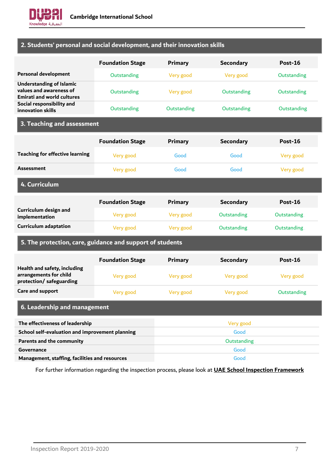

# **2. Students' personal and social development, and their innovation skills**

|                                                                                                 | <b>Foundation Stage</b> | Primary        | <b>Secondary</b> | <b>Post-16</b> |
|-------------------------------------------------------------------------------------------------|-------------------------|----------------|------------------|----------------|
| <b>Personal development</b>                                                                     | Outstanding             | Very good      | Very good        | Outstanding    |
| <b>Understanding of Islamic</b><br>values and awareness of<br><b>Emirati and world cultures</b> | Outstanding             | Very good      | Outstanding      | Outstanding    |
| Social responsibility and<br>innovation skills                                                  | Outstanding             | Outstanding    | Outstanding      | Outstanding    |
| 3. Teaching and assessment                                                                      |                         |                |                  |                |
|                                                                                                 | <b>Foundation Stage</b> | <b>Primary</b> | <b>Secondary</b> | Post-16        |
| <b>Teaching for effective learning</b>                                                          | Very good               | Good           | Good             | Very good      |
| <b>Assessment</b>                                                                               | Very good               | Good           | Good             | Very good      |
| 4. Curriculum                                                                                   |                         |                |                  |                |
|                                                                                                 | <b>Foundation Stage</b> | <b>Primary</b> | <b>Secondary</b> | Post-16        |
| Curriculum design and<br>implementation                                                         | Very good               | Very good      | Outstanding      | Outstanding    |
| <b>Curriculum adaptation</b>                                                                    | Very good               | Very good      | Outstanding      | Outstanding    |
| 5. The protection, care, guidance and support of students                                       |                         |                |                  |                |
|                                                                                                 | <b>Foundation Stage</b> | <b>Primary</b> | <b>Secondary</b> | Post-16        |
| Health and safety, including<br>arrangements for child<br>protection/ safeguarding              | Very good               | Very good      | Very good        | Very good      |
| Care and support                                                                                | Very good               | Very good      | Very good        | Outstanding    |
| 6. Leadership and management                                                                    |                         |                |                  |                |
| The effectiveness of leadership                                                                 |                         |                | Very good        |                |
| School self-evaluation and improvement planning                                                 |                         |                | Good             |                |
| Parents and the community                                                                       |                         |                | Outstanding      |                |
| Governance                                                                                      |                         |                | Good             |                |
| Management, staffing, facilities and resources                                                  |                         |                | Good             |                |

<span id="page-6-0"></span>For further information regarding the inspection process, please look at **[UAE School Inspection Framework](https://www.khda.gov.ae/Areas/Administration/Content/FileUploads/Publication/Documents/English/20170112135640_KHDAINSPECTIONFRAMEWORKEN.pdf)**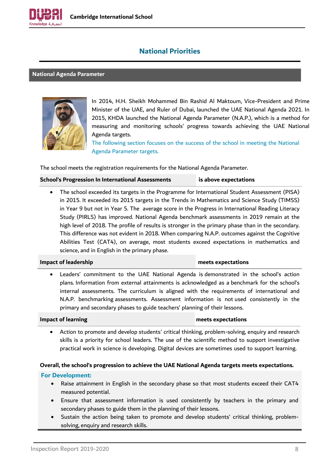

# **National Priorities**

### <span id="page-7-0"></span>**National Agenda Parameter**



In 2014, H.H. Sheikh Mohammed Bin Rashid Al Maktoum, Vice-President and Prime Minister of the UAE, and Ruler of Dubai, launched the UAE National Agenda 2021. In 2015, KHDA launched the National Agenda Parameter (N.A.P.), which is a method for measuring and monitoring schools' progress towards achieving the UAE National Agenda targets.

The following section focuses on the success of the school in meeting the National Agenda Parameter targets.

The school meets the registration requirements for the National Agenda Parameter.

## **School's Progression In International Assessments is above expectations**

• The school exceeded its targets in the Programme for International Student Assessment (PISA) in 2015. It exceeded its 2015 targets in the Trends in Mathematics and Science Study (TIMSS) in Year 9 but not in Year 5. The average score in the Progress in International Reading Literacy Study (PIRLS) has improved. National Agenda benchmark assessments in 2019 remain at the high level of 2018. The profile of results is stronger in the primary phase than in the secondary. This difference was not evident in 2018. When comparing N.A.P. outcomes against the Cognitive Abilities Test (CAT4), on average, most students exceed expectations in mathematics and science, and in English in the primary phase.

#### **Impact of leadership meets expectations**

Leaders' commitment to the UAE National Agenda is demonstrated in the school's action plans. Information from external attainments is acknowledged as a benchmark for the school's internal assessments. The curriculum is aligned with the requirements of international and N.A.P. benchmarking assessments. Assessment information is not used consistently in the primary and secondary phases to guide teachers' planning of their lessons.

#### **Impact of learning meets expectations**

• Action to promote and develop students' critical thinking, problem-solving, enquiry and research skills is a priority for school leaders. The use of the scientific method to support investigative practical work in science is developing. Digital devices are sometimes used to support learning.

#### **Overall, the school's progression to achieve the UAE National Agenda targets meets expectations.**

- Raise attainment in English in the secondary phase so that most students exceed their CAT4 measured potential.
- Ensure that assessment information is used consistently by teachers in the primary and secondary phases to guide them in the planning of their lessons.
- Sustain the action being taken to promote and develop students' critical thinking, problemsolving, enquiry and research skills.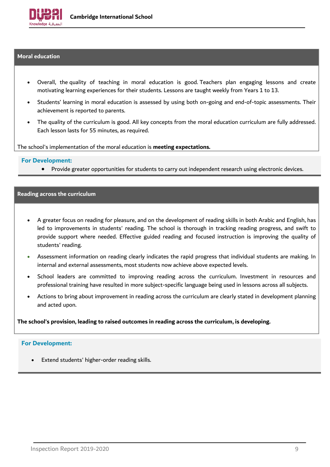

#### <span id="page-8-0"></span>**Moral education**

- Overall, the quality of teaching in moral education is good. Teachers plan engaging lessons and create motivating learning experiences for their students. Lessons are taught weekly from Years 1 to 13.
- Students' learning in moral education is assessed by using both on-going and end-of-topic assessments. Their achievement is reported to parents.
- The quality of the curriculum is good. All key concepts from the moral education curriculum are fully addressed. Each lesson lasts for 55 minutes, as required.

The school's implementation of the moral education is **meeting expectations.**

#### **For Development:**

• Provide greater opportunities for students to carry out independent research using electronic devices.

#### <span id="page-8-1"></span>**Reading across the curriculum**

- A greater focus on reading for pleasure, and on the development of reading skills in both Arabic and English, has led to improvements in students' reading. The school is thorough in tracking reading progress, and swift to provide support where needed. Effective guided reading and focused instruction is improving the quality of students' reading.
- Assessment information on reading clearly indicates the rapid progress that individual students are making. In internal and external assessments, most students now achieve above expected levels.
- School leaders are committed to improving reading across the curriculum. Investment in resources and professional training have resulted in more subject-specific language being used in lessons across all subjects.
- Actions to bring about improvement in reading across the curriculum are clearly stated in development planning and acted upon.

**The school's provision, leading to raised outcomes in reading across the curriculum, is developing.**

#### **For Development:**

Extend students' higher-order reading skills.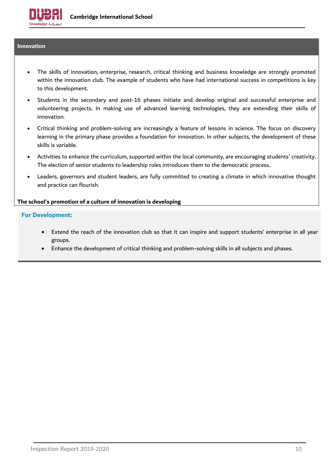

# <span id="page-9-0"></span>**Innovation**

- The skills of innovation, enterprise, research, critical thinking and business knowledge are strongly promoted within the innovation club. The example of students who have had international success in competitions is key to this development.
- Students in the secondary and post-16 phases initiate and develop original and successful enterprise and volunteering projects. In making use of advanced learning technologies, they are extending their skills of innovation.
- Critical thinking and problem-solving are increasingly a feature of lessons in science. The focus on discovery learning in the primary phase provides a foundation for innovation. In other subjects, the development of these skills is variable.
- Activities to enhance the curriculum, supported within the local community, are encouraging students' creativity. The election of senior students to leadership roles introduces them to the democratic process.
- Leaders, governors and student leaders, are fully committed to creating a climate in which innovative thought and practice can flourish.

#### **The school's promotion of a culture of innovation is developing**

- Extend the reach of the innovation club so that it can inspire and support students' enterprise in all year groups.
- Enhance the development of critical thinking and problem-solving skills in all subjects and phases.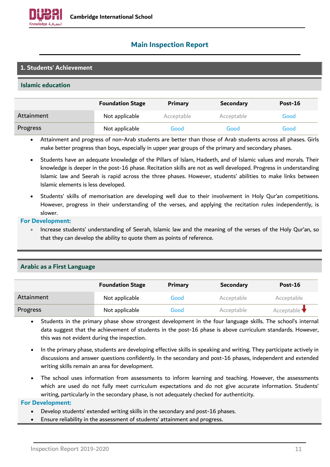

# <span id="page-10-0"></span>**Main Inspection Report**

# **1. Students' Achievement**

## **Islamic education**

|            | <b>Foundation Stage</b> | Primary    | <b>Secondary</b> | Post-16 |
|------------|-------------------------|------------|------------------|---------|
| Attainment | Not applicable          | Acceptable | Acceptable       | Good .  |
| Progress   | Not applicable          | Good       | Good             | Good .  |

• Attainment and progress of non-Arab students are better than those of Arab students across all phases. Girls make better progress than boys, especially in upper year groups of the primary and secondary phases.

- Students have an adequate knowledge of the Pillars of Islam, Hadeeth, and of Islamic values and morals. Their knowledge is deeper in the post-16 phase. Recitation skills are not as well developed. Progress in understanding Islamic law and Seerah is rapid across the three phases. However, students' abilities to make links between Islamic elements is less developed.
- Students' skills of memorisation are developing well due to their involvement in Holy Qur'an competitions. However, progress in their understanding of the verses, and applying the recitation rules independently, is slower.

#### **For Development:**

• Increase students' understanding of Seerah, Islamic law and the meaning of the verses of the Holy Qur'an, so that they can develop the ability to quote them as points of reference.

|            | <b>Foundation Stage</b> | Primary | <b>Secondary</b> | Post-16                         |
|------------|-------------------------|---------|------------------|---------------------------------|
| Attainment | Not applicable          | Good    | Acceptable       | Acceptable                      |
| Progress   | Not applicable          | Good    | Acceptable       | Acceptable $\blacktriangledown$ |

#### **Arabic as a First Language**

- Students in the primary phase show strongest development in the four language skills. The school's internal data suggest that the achievement of students in the post-16 phase is above curriculum standards. However, this was not evident during the inspection.
- In the primary phase, students are developing effective skills in speaking and writing. They participate actively in discussions and answer questions confidently. In the secondary and post-16 phases, independent and extended writing skills remain an area for development.
- The school uses information from assessments to inform learning and teaching. However, the assessments which are used do not fully meet curriculum expectations and do not give accurate information. Students' writing, particularly in the secondary phase, is not adequately checked for authenticity.

- Develop students' extended writing skills in the secondary and post-16 phases.
- Ensure reliability in the assessment of students' attainment and progress.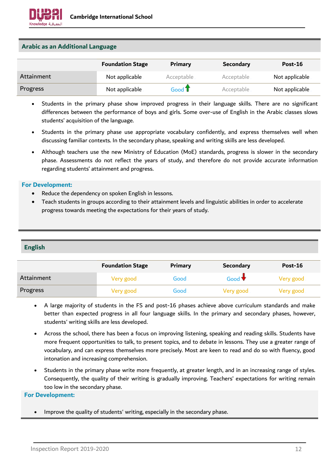

# **Arabic as an Additional Language**

|            | <b>Foundation Stage</b> | Primary    | <b>Secondary</b> | Post-16        |
|------------|-------------------------|------------|------------------|----------------|
| Attainment | Not applicable          | Acceptable | Acceptable       | Not applicable |
| Progress   | Not applicable          | Good T     | Acceptable       | Not applicable |

- Students in the primary phase show improved progress in their language skills. There are no significant differences between the performance of boys and girls. Some over-use of English in the Arabic classes slows students' acquisition of the language.
- Students in the primary phase use appropriate vocabulary confidently, and express themselves well when discussing familiar contexts. In the secondary phase, speaking and writing skills are less developed.
- Although teachers use the new Ministry of Education (MoE) standards, progress is slower in the secondary phase. Assessments do not reflect the years of study, and therefore do not provide accurate information regarding students' attainment and progress.

#### **For Development:**

- Reduce the dependency on spoken English in lessons.
- Teach students in groups according to their attainment levels and linguistic abilities in order to accelerate progress towards meeting the expectations for their years of study.

# **English**

|            | <b>Foundation Stage</b> | Primary | <b>Secondary</b>     | Post-16   |
|------------|-------------------------|---------|----------------------|-----------|
| Attainment | Very good               | Good    | Good $\blacklozenge$ | Very good |
| Progress   | Very good               | Good    | Very good            | Very good |

- A large majority of students in the FS and post-16 phases achieve above curriculum standards and make better than expected progress in all four language skills. In the primary and secondary phases, however, students' writing skills are less developed.
- Across the school, there has been a focus on improving listening, speaking and reading skills. Students have more frequent opportunities to talk, to present topics, and to debate in lessons. They use a greater range of vocabulary, and can express themselves more precisely. Most are keen to read and do so with fluency, good intonation and increasing comprehension.
- Students in the primary phase write more frequently, at greater length, and in an increasing range of styles. Consequently, the quality of their writing is gradually improving. Teachers' expectations for writing remain too low in the secondary phase.

#### **For Development:**

• Improve the quality of students' writing, especially in the secondary phase.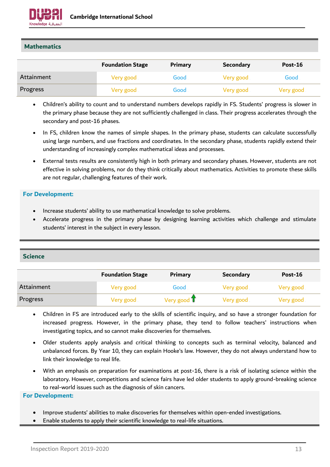

# **Mathematics**

|            | <b>Foundation Stage</b> | Primary | <b>Secondary</b> | Post-16   |
|------------|-------------------------|---------|------------------|-----------|
| Attainment | Very good               | Good    | Very good        | Good      |
| Progress   | Very good               | Good    | Very good        | Very good |

- Children's ability to count and to understand numbers develops rapidly in FS. Students' progress is slower in the primary phase because they are not sufficiently challenged in class. Their progress accelerates through the secondary and post-16 phases.
- In FS, children know the names of simple shapes. In the primary phase, students can calculate successfully using large numbers, and use fractions and coordinates. In the secondary phase, students rapidly extend their understanding of increasingly complex mathematical ideas and processes.
- External tests results are consistently high in both primary and secondary phases. However, students are not effective in solving problems, nor do they think critically about mathematics. Activities to promote these skills are not regular, challenging features of their work.

## **For Development:**

- Increase students' ability to use mathematical knowledge to solve problems.
- Accelerate progress in the primary phase by designing learning activities which challenge and stimulate students' interest in the subject in every lesson.

# **Science**

|            | <b>Foundation Stage</b> | <b>Primary</b>        | <b>Secondary</b> | Post-16   |
|------------|-------------------------|-----------------------|------------------|-----------|
| Attainment | Very good               | Good                  | Very good        | Very good |
| Progress   | Very good               | Very good $\mathbf T$ | Very good        | Very good |

- Children in FS are introduced early to the skills of scientific inquiry, and so have a stronger foundation for increased progress. However, in the primary phase, they tend to follow teachers' instructions when investigating topics, and so cannot make discoveries for themselves.
- Older students apply analysis and critical thinking to concepts such as terminal velocity, balanced and unbalanced forces. By Year 10, they can explain Hooke's law. However, they do not always understand how to link their knowledge to real life.
- With an emphasis on preparation for examinations at post-16, there is a risk of isolating science within the laboratory. However, competitions and science fairs have led older students to apply ground-breaking science to real-world issues such as the diagnosis of skin cancers.

- Improve students' abilities to make discoveries for themselves within open-ended investigations.
- Enable students to apply their scientific knowledge to real-life situations.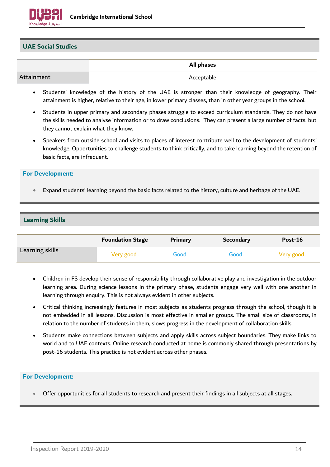

# **UAE Social Studies**

|            | All phases |
|------------|------------|
| Attainment | Acceptable |

- Students' knowledge of the history of the UAE is stronger than their knowledge of geography. Their attainment is higher, relative to their age, in lower primary classes, than in other year groups in the school.
- Students in upper primary and secondary phases struggle to exceed curriculum standards. They do not have the skills needed to analyse information or to draw conclusions. They can present a large number of facts, but they cannot explain what they know.
- Speakers from outside school and visits to places of interest contribute well to the development of students' knowledge. Opportunities to challenge students to think critically, and to take learning beyond the retention of basic facts, are infrequent.

## **For Development:**

• Expand students' learning beyond the basic facts related to the history, culture and heritage of the UAE.

# **Learning Skills**

|                 | <b>Foundation Stage</b> | <b>Primary</b> | <b>Secondary</b> | <b>Post-16</b> |
|-----------------|-------------------------|----------------|------------------|----------------|
| Learning skills | Very good               | Good           | Good             | Very good      |

- Children in FS develop their sense of responsibility through collaborative play and investigation in the outdoor learning area. During science lessons in the primary phase, students engage very well with one another in learning through enquiry. This is not always evident in other subjects.
- Critical thinking increasingly features in most subjects as students progress through the school, though it is not embedded in all lessons. Discussion is most effective in smaller groups. The small size of classrooms, in relation to the number of students in them, slows progress in the development of collaboration skills.
- Students make connections between subjects and apply skills across subject boundaries. They make links to world and to UAE contexts. Online research conducted at home is commonly shared through presentations by post-16 students. This practice is not evident across other phases.

# **For Development:**

• Offer opportunities for all students to research and present their findings in all subjects at all stages.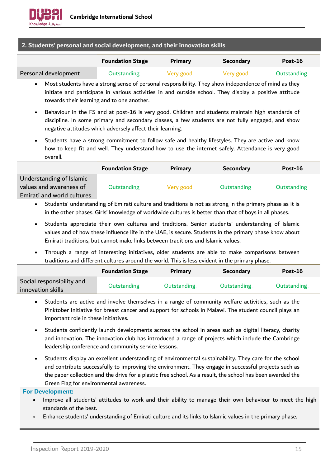# **2. Students' personal and social development, and their innovation skills**

|                      | <b>Foundation Stage</b> | <b>Primary</b> | Secondary | Post-16     |
|----------------------|-------------------------|----------------|-----------|-------------|
| Personal development | <b>Outstanding</b>      | Very good      | Very good | Outstanding |

- Most students have a strong sense of personal responsibility. They show independence of mind as they initiate and participate in various activities in and outside school. They display a positive attitude towards their learning and to one another.
- Behaviour in the FS and at post-16 is very good. Children and students maintain high standards of discipline. In some primary and secondary classes, a few students are not fully engaged, and show negative attitudes which adversely affect their learning.
- Students have a strong commitment to follow safe and healthy lifestyles. They are active and know how to keep fit and well. They understand how to use the internet safely. Attendance is very good overall.

|                                                                                   | <b>Foundation Stage</b> | <b>Primary</b> | <b>Secondary</b> | Post-16            |
|-----------------------------------------------------------------------------------|-------------------------|----------------|------------------|--------------------|
| Understanding of Islamic<br>values and awareness of<br>Emirati and world cultures | <b>Outstanding</b>      | Very good      | Outstanding      | <b>Outstanding</b> |
|                                                                                   |                         |                |                  |                    |

• Students' understanding of Emirati culture and traditions is not as strong in the primary phase as it is in the other phases. Girls' knowledge of worldwide cultures is better than that of boys in all phases.

- Students appreciate their own cultures and traditions. Senior students' understanding of Islamic values and of how these influence life in the UAE, is secure. Students in the primary phase know about Emirati traditions, but cannot make links between traditions and Islamic values.
- Through a range of interesting initiatives, older students are able to make comparisons between traditions and different cultures around the world. This is less evident in the primary phase.

|                                                | <b>Foundation Stage</b> | <b>Primary</b> | <b>Secondary</b> | Post-16            |
|------------------------------------------------|-------------------------|----------------|------------------|--------------------|
| Social responsibility and<br>innovation skills | Outstanding             | Outstanding    | Outstanding      | <b>Outstanding</b> |

- Students are active and involve themselves in a range of community welfare activities, such as the Pinktober Initiative for breast cancer and support for schools in Malawi. The student council plays an important role in these initiatives.
- Students confidently launch developments across the school in areas such as digital literacy, charity and innovation. The innovation club has introduced a range of projects which include the Cambridge leadership conference and community service lessons.
- Students display an excellent understanding of environmental sustainability. They care for the school and contribute successfully to improving the environment. They engage in successful projects such as the paper collection and the drive for a plastic free school. As a result, the school has been awarded the Green Flag for environmental awareness.

- Improve all students' attitudes to work and their ability to manage their own behaviour to meet the high standards of the best.
- Enhance students' understanding of Emirati culture and its links to Islamic values in the primary phase.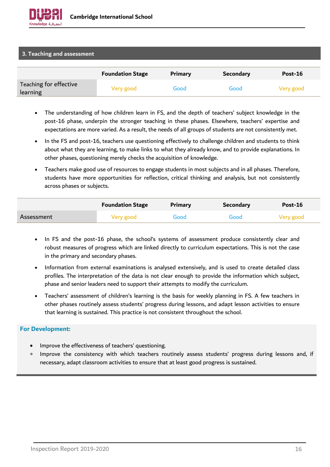

## **3. Teaching and assessment**

|                                    | <b>Foundation Stage</b> | Primary | <b>Secondary</b> | Post-16   |
|------------------------------------|-------------------------|---------|------------------|-----------|
| Teaching for effective<br>learning | Very good               | Good    | Good             | Very good |

- The understanding of how children learn in FS, and the depth of teachers' subject knowledge in the post-16 phase, underpin the stronger teaching in these phases. Elsewhere, teachers' expertise and expectations are more varied. As a result, the needs of all groups of students are not consistently met.
- In the FS and post-16, teachers use questioning effectively to challenge children and students to think about what they are learning, to make links to what they already know, and to provide explanations. In other phases, questioning merely checks the acquisition of knowledge.
- Teachers make good use of resources to engage students in most subjects and in all phases. Therefore, students have more opportunities for reflection, critical thinking and analysis, but not consistently across phases or subjects.

|            | <b>Foundation Stage</b> | Primary | Secondary | Post-16   |
|------------|-------------------------|---------|-----------|-----------|
| Assessment | Very good               | Good    | Good      | Very good |

- In FS and the post-16 phase, the school's systems of assessment produce consistently clear and robust measures of progress which are linked directly to curriculum expectations. This is not the case in the primary and secondary phases.
- Information from external examinations is analysed extensively, and is used to create detailed class profiles. The interpretation of the data is not clear enough to provide the information which subject, phase and senior leaders need to support their attempts to modify the curriculum.
- Teachers' assessment of children's learning is the basis for weekly planning in FS. A few teachers in other phases routinely assess students' progress during lessons, and adapt lesson activities to ensure that learning is sustained. This practice is not consistent throughout the school.

- Improve the effectiveness of teachers' questioning.
- Improve the consistency with which teachers routinely assess students' progress during lessons and, if necessary, adapt classroom activities to ensure that at least good progress is sustained.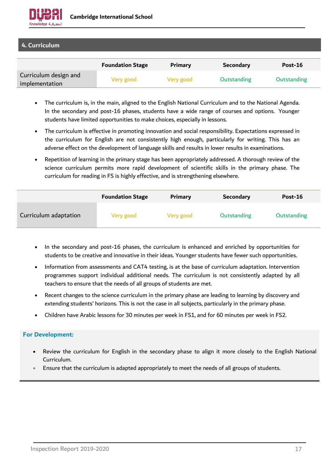

**4. Curriculum**

|                                         | <b>Foundation Stage</b> | <b>Primary</b> | <b>Secondary</b> | $Post-16$   |
|-----------------------------------------|-------------------------|----------------|------------------|-------------|
| Curriculum design and<br>implementation | Very good               | Very good      | Outstanding      | Outstanding |

- The curriculum is, in the main, aligned to the English National Curriculum and to the National Agenda. In the secondary and post-16 phases, students have a wide range of courses and options. Younger students have limited opportunities to make choices, especially in lessons.
- The curriculum is effective in promoting innovation and social responsibility. Expectations expressed in the curriculum for English are not consistently high enough, particularly for writing. This has an adverse effect on the development of language skills and results in lower results in examinations.
- Repetition of learning in the primary stage has been appropriately addressed. A thorough review of the science curriculum permits more rapid development of scientific skills in the primary phase. The curriculum for reading in FS is highly effective, and is strengthening elsewhere.

|                       | <b>Foundation Stage</b> | <b>Primary</b> | <b>Secondary</b> | Post-16     |
|-----------------------|-------------------------|----------------|------------------|-------------|
| Curriculum adaptation | Very good               | Very good      | Outstanding      | Outstanding |

- In the secondary and post-16 phases, the curriculum is enhanced and enriched by opportunities for students to be creative and innovative in their ideas. Younger students have fewer such opportunities.
- Information from assessments and CAT4 testing, is at the base of curriculum adaptation. Intervention programmes support individual additional needs. The curriculum is not consistently adapted by all teachers to ensure that the needs of all groups of students are met.
- Recent changes to the science curriculum in the primary phase are leading to learning by discovery and extending students' horizons. This is not the case in all subjects, particularly in the primary phase.
- Children have Arabic lessons for 30 minutes per week in FS1, and for 60 minutes per week in FS2.

- Review the curriculum for English in the secondary phase to align it more closely to the English National Curriculum.
- Ensure that the curriculum is adapted appropriately to meet the needs of all groups of students.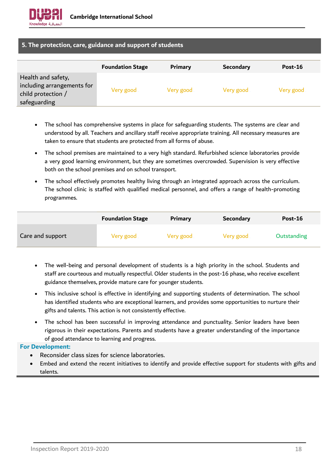

# **5. The protection, care, guidance and support of students**

|                                                                                        | <b>Foundation Stage</b> | Primary   | <b>Secondary</b> | Post-16   |
|----------------------------------------------------------------------------------------|-------------------------|-----------|------------------|-----------|
| Health and safety,<br>including arrangements for<br>child protection /<br>safeguarding | Very good               | Very good | Very good        | Very good |

- The school has comprehensive systems in place for safeguarding students. The systems are clear and understood by all. Teachers and ancillary staff receive appropriate training. All necessary measures are taken to ensure that students are protected from all forms of abuse.
- The school premises are maintained to a very high standard. Refurbished science laboratories provide a very good learning environment, but they are sometimes overcrowded. Supervision is very effective both on the school premises and on school transport.
- The school effectively promotes healthy living through an integrated approach across the curriculum. The school clinic is staffed with qualified medical personnel, and offers a range of health-promoting programmes.

|                  | <b>Foundation Stage</b> | Primary   | <b>Secondary</b> | <b>Post-16</b> |
|------------------|-------------------------|-----------|------------------|----------------|
| Care and support | Very good               | Very good | Very good        | Outstanding    |

- The well-being and personal development of students is a high priority in the school. Students and staff are courteous and mutually respectful. Older students in the post-16 phase, who receive excellent guidance themselves, provide mature care for younger students.
- This inclusive school is effective in identifying and supporting students of determination. The school has identified students who are exceptional learners, and provides some opportunities to nurture their gifts and talents. This action is not consistently effective.
- The school has been successful in improving attendance and punctuality. Senior leaders have been rigorous in their expectations. Parents and students have a greater understanding of the importance of good attendance to learning and progress.

- Reconsider class sizes for science laboratories.
- Embed and extend the recent initiatives to identify and provide effective support for students with gifts and talents.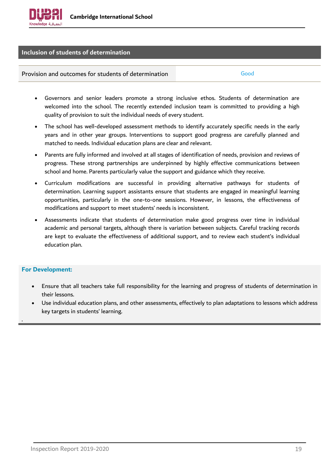

# **Inclusion of students of determination**

## Provision and outcomes for students of determination Theorem Cood

- Governors and senior leaders promote a strong inclusive ethos. Students of determination are welcomed into the school. The recently extended inclusion team is committed to providing a high quality of provision to suit the individual needs of every student.
- The school has well-developed assessment methods to identify accurately specific needs in the early years and in other year groups. Interventions to support good progress are carefully planned and matched to needs. Individual education plans are clear and relevant.
- Parents are fully informed and involved at all stages of identification of needs, provision and reviews of progress. These strong partnerships are underpinned by highly effective communications between school and home. Parents particularly value the support and guidance which they receive.
- Curriculum modifications are successful in providing alternative pathways for students of determination. Learning support assistants ensure that students are engaged in meaningful learning opportunities, particularly in the one-to-one sessions. However, in lessons, the effectiveness of modifications and support to meet students' needs is inconsistent.
- Assessments indicate that students of determination make good progress over time in individual academic and personal targets, although there is variation between subjects. Careful tracking records are kept to evaluate the effectiveness of additional support, and to review each student's individual education plan.

#### **For Development:**

.

- Ensure that all teachers take full responsibility for the learning and progress of students of determination in their lessons.
- Use individual education plans, and other assessments, effectively to plan adaptations to lessons which address key targets in students' learning.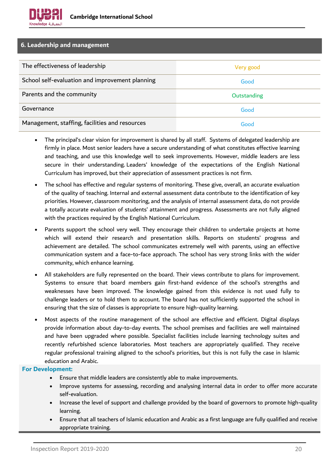# **6. Leadership and management**

| The effectiveness of leadership                 | Very good   |
|-------------------------------------------------|-------------|
| School self-evaluation and improvement planning | Good        |
| Parents and the community                       | Outstanding |
| Governance                                      | Good        |
| Management, staffing, facilities and resources  | Good        |

- The principal's clear vision for improvement is shared by all staff. Systems of delegated leadership are firmly in place. Most senior leaders have a secure understanding of what constitutes effective learning and teaching, and use this knowledge well to seek improvements. However, middle leaders are less secure in their understanding. Leaders' knowledge of the expectations of the English National Curriculum has improved, but their appreciation of assessment practices is not firm.
- The school has effective and regular systems of monitoring. These give, overall, an accurate evaluation of the quality of teaching. Internal and external assessment data contribute to the identification of key priorities. However, classroom monitoring, and the analysis of internal assessment data, do not provide a totally accurate evaluation of students' attainment and progress. Assessments are not fully aligned with the practices required by the English National Curriculum.
- Parents support the school very well. They encourage their children to undertake projects at home which will extend their research and presentation skills. Reports on students' progress and achievement are detailed. The school communicates extremely well with parents, using an effective communication system and a face-to-face approach. The school has very strong links with the wider community, which enhance learning.
- All stakeholders are fully represented on the board. Their views contribute to plans for improvement. Systems to ensure that board members gain first-hand evidence of the school's strengths and weaknesses have been improved. The knowledge gained from this evidence is not used fully to challenge leaders or to hold them to account. The board has not sufficiently supported the school in ensuring that the size of classes is appropriate to ensure high-quality learning.
- Most aspects of the routine management of the school are effective and efficient. Digital displays provide information about day-to-day events. The school premises and facilities are well maintained and have been upgraded where possible. Specialist facilities include learning technology suites and recently refurbished science laboratories. Most teachers are appropriately qualified. They receive regular professional training aligned to the school's priorities, but this is not fully the case in Islamic education and Arabic.

- Ensure that middle leaders are consistently able to make improvements.
- Improve systems for assessing, recording and analysing internal data in order to offer more accurate self-evaluation.
- Increase the level of support and challenge provided by the board of governors to promote high-quality learning.
- Ensure that all teachers of Islamic education and Arabic as a first language are fully qualified and receive appropriate training.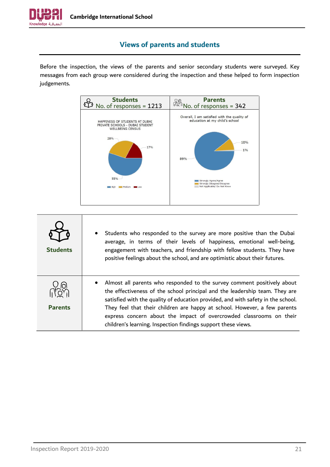

# **Views of parents and students**

<span id="page-20-0"></span>Before the inspection, the views of the parents and senior secondary students were surveyed. Key messages from each group were considered during the inspection and these helped to form inspection judgements.



| <b>Students</b> | Students who responded to the survey are more positive than the Dubai<br>$\bullet$<br>average, in terms of their levels of happiness, emotional well-being,<br>engagement with teachers, and friendship with fellow students. They have<br>positive feelings about the school, and are optimistic about their futures.                                                                                                                                          |
|-----------------|-----------------------------------------------------------------------------------------------------------------------------------------------------------------------------------------------------------------------------------------------------------------------------------------------------------------------------------------------------------------------------------------------------------------------------------------------------------------|
| <b>Parents</b>  | Almost all parents who responded to the survey comment positively about<br>the effectiveness of the school principal and the leadership team. They are<br>satisfied with the quality of education provided, and with safety in the school.<br>They feel that their children are happy at school. However, a few parents<br>express concern about the impact of overcrowded classrooms on their<br>children's learning. Inspection findings support these views. |